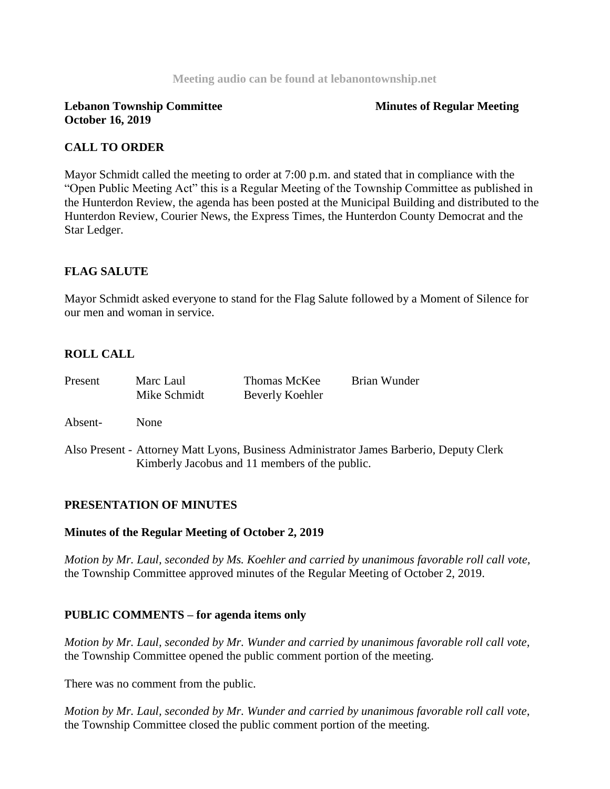#### **Meeting audio can be found at lebanontownship.net**

### **Lebanon Township Committee Service Service Service Service Service Service Service Service Service Service Service Service Service Service Service Service Service Service Service Service Service Service Service Service Se October 16, 2019**

# **CALL TO ORDER**

Mayor Schmidt called the meeting to order at 7:00 p.m. and stated that in compliance with the "Open Public Meeting Act" this is a Regular Meeting of the Township Committee as published in the Hunterdon Review, the agenda has been posted at the Municipal Building and distributed to the Hunterdon Review, Courier News, the Express Times, the Hunterdon County Democrat and the Star Ledger.

# **FLAG SALUTE**

Mayor Schmidt asked everyone to stand for the Flag Salute followed by a Moment of Silence for our men and woman in service.

# **ROLL CALL**

| Present | Marc Laul<br>Mike Schmidt | Thomas McKee<br>Beverly Koehler                | Brian Wunder                                                                            |
|---------|---------------------------|------------------------------------------------|-----------------------------------------------------------------------------------------|
| Absent- | <b>None</b>               |                                                |                                                                                         |
|         |                           | Kimberly Jacobus and 11 members of the public. | Also Present - Attorney Matt Lyons, Business Administrator James Barberio, Deputy Clerk |

# **PRESENTATION OF MINUTES**

#### **Minutes of the Regular Meeting of October 2, 2019**

*Motion by Mr. Laul, seconded by Ms. Koehler and carried by unanimous favorable roll call vote,*  the Township Committee approved minutes of the Regular Meeting of October 2, 2019.

# **PUBLIC COMMENTS – for agenda items only**

*Motion by Mr. Laul, seconded by Mr. Wunder and carried by unanimous favorable roll call vote,* the Township Committee opened the public comment portion of the meeting.

There was no comment from the public.

*Motion by Mr. Laul, seconded by Mr. Wunder and carried by unanimous favorable roll call vote,* the Township Committee closed the public comment portion of the meeting.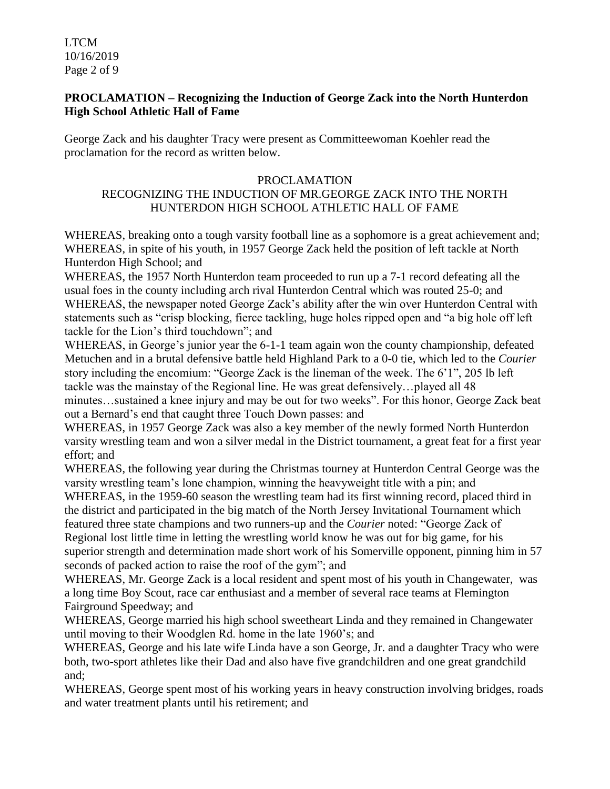LTCM 10/16/2019 Page 2 of 9

## **PROCLAMATION – Recognizing the Induction of George Zack into the North Hunterdon High School Athletic Hall of Fame**

George Zack and his daughter Tracy were present as Committeewoman Koehler read the proclamation for the record as written below.

## PROCLAMATION

# RECOGNIZING THE INDUCTION OF MR.GEORGE ZACK INTO THE NORTH HUNTERDON HIGH SCHOOL ATHLETIC HALL OF FAME

WHEREAS, breaking onto a tough varsity football line as a sophomore is a great achievement and; WHEREAS, in spite of his youth, in 1957 George Zack held the position of left tackle at North Hunterdon High School; and

WHEREAS, the 1957 North Hunterdon team proceeded to run up a 7-1 record defeating all the usual foes in the county including arch rival Hunterdon Central which was routed 25-0; and WHEREAS, the newspaper noted George Zack's ability after the win over Hunterdon Central with statements such as "crisp blocking, fierce tackling, huge holes ripped open and "a big hole off left tackle for the Lion's third touchdown"; and

WHEREAS, in George's junior year the 6-1-1 team again won the county championship, defeated Metuchen and in a brutal defensive battle held Highland Park to a 0-0 tie, which led to the *Courier* story including the encomium: "George Zack is the lineman of the week. The 6'1", 205 lb left tackle was the mainstay of the Regional line. He was great defensively…played all 48 minutes…sustained a knee injury and may be out for two weeks". For this honor, George Zack beat out a Bernard's end that caught three Touch Down passes: and

WHEREAS, in 1957 George Zack was also a key member of the newly formed North Hunterdon varsity wrestling team and won a silver medal in the District tournament, a great feat for a first year effort; and

WHEREAS, the following year during the Christmas tourney at Hunterdon Central George was the varsity wrestling team's lone champion, winning the heavyweight title with a pin; and

WHEREAS, in the 1959-60 season the wrestling team had its first winning record, placed third in the district and participated in the big match of the North Jersey Invitational Tournament which featured three state champions and two runners-up and the *Courier* noted: "George Zack of Regional lost little time in letting the wrestling world know he was out for big game, for his superior strength and determination made short work of his Somerville opponent, pinning him in 57 seconds of packed action to raise the roof of the gym"; and

WHEREAS, Mr. George Zack is a local resident and spent most of his youth in Changewater, was a long time Boy Scout, race car enthusiast and a member of several race teams at Flemington Fairground Speedway; and

WHEREAS, George married his high school sweetheart Linda and they remained in Changewater until moving to their Woodglen Rd. home in the late 1960's; and

WHEREAS, George and his late wife Linda have a son George, Jr. and a daughter Tracy who were both, two-sport athletes like their Dad and also have five grandchildren and one great grandchild and;

WHEREAS, George spent most of his working years in heavy construction involving bridges, roads and water treatment plants until his retirement; and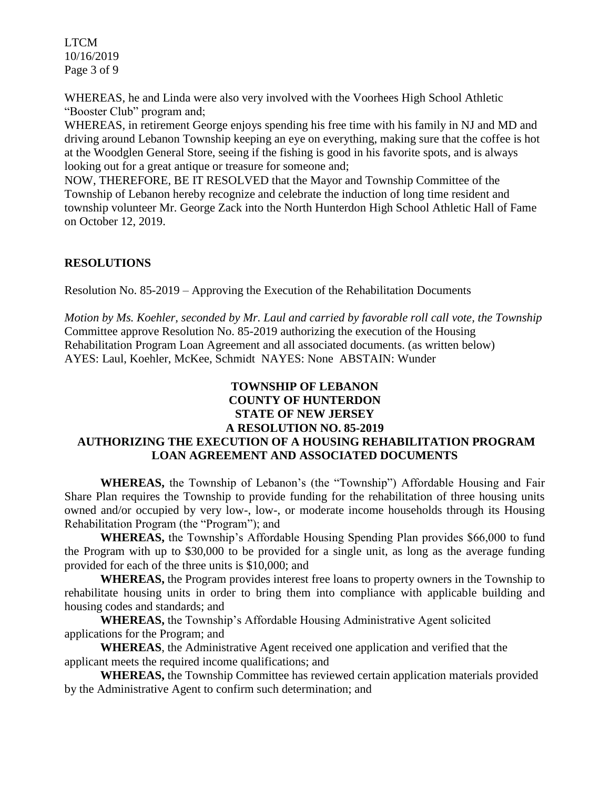LTCM 10/16/2019 Page 3 of 9

WHEREAS, he and Linda were also very involved with the Voorhees High School Athletic "Booster Club" program and;

WHEREAS, in retirement George enjoys spending his free time with his family in NJ and MD and driving around Lebanon Township keeping an eye on everything, making sure that the coffee is hot at the Woodglen General Store, seeing if the fishing is good in his favorite spots, and is always looking out for a great antique or treasure for someone and;

NOW, THEREFORE, BE IT RESOLVED that the Mayor and Township Committee of the Township of Lebanon hereby recognize and celebrate the induction of long time resident and township volunteer Mr. George Zack into the North Hunterdon High School Athletic Hall of Fame on October 12, 2019.

# **RESOLUTIONS**

Resolution No. 85-2019 – Approving the Execution of the Rehabilitation Documents

*Motion by Ms. Koehler, seconded by Mr. Laul and carried by favorable roll call vote, the Township*  Committee approve Resolution No. 85-2019 authorizing the execution of the Housing Rehabilitation Program Loan Agreement and all associated documents. (as written below) AYES: Laul, Koehler, McKee, Schmidt NAYES: None ABSTAIN: Wunder

# **TOWNSHIP OF LEBANON COUNTY OF HUNTERDON STATE OF NEW JERSEY A RESOLUTION NO. 85-2019 AUTHORIZING THE EXECUTION OF A HOUSING REHABILITATION PROGRAM LOAN AGREEMENT AND ASSOCIATED DOCUMENTS**

**WHEREAS,** the Township of Lebanon's (the "Township") Affordable Housing and Fair Share Plan requires the Township to provide funding for the rehabilitation of three housing units owned and/or occupied by very low-, low-, or moderate income households through its Housing Rehabilitation Program (the "Program"); and

**WHEREAS,** the Township's Affordable Housing Spending Plan provides \$66,000 to fund the Program with up to \$30,000 to be provided for a single unit, as long as the average funding provided for each of the three units is \$10,000; and

**WHEREAS,** the Program provides interest free loans to property owners in the Township to rehabilitate housing units in order to bring them into compliance with applicable building and housing codes and standards; and

**WHEREAS,** the Township's Affordable Housing Administrative Agent solicited applications for the Program; and

**WHEREAS**, the Administrative Agent received one application and verified that the applicant meets the required income qualifications; and

**WHEREAS,** the Township Committee has reviewed certain application materials provided by the Administrative Agent to confirm such determination; and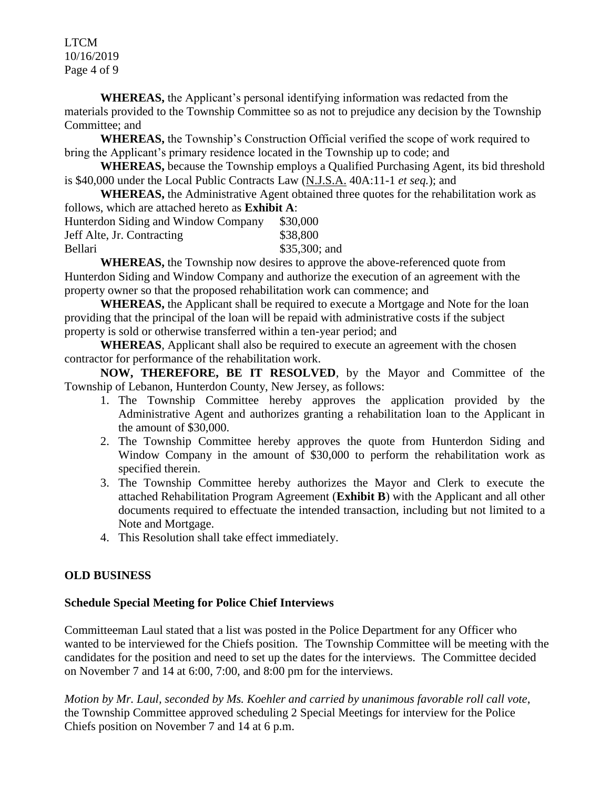LTCM 10/16/2019 Page 4 of 9

**WHEREAS,** the Applicant's personal identifying information was redacted from the materials provided to the Township Committee so as not to prejudice any decision by the Township Committee; and

**WHEREAS,** the Township's Construction Official verified the scope of work required to bring the Applicant's primary residence located in the Township up to code; and

**WHEREAS,** because the Township employs a Qualified Purchasing Agent, its bid threshold is \$40,000 under the Local Public Contracts Law (N.J.S.A. 40A:11-1 *et seq.*); and

**WHEREAS,** the Administrative Agent obtained three quotes for the rehabilitation work as follows, which are attached hereto as **Exhibit A**:

| Hunterdon Siding and Window Company | \$30,000        |
|-------------------------------------|-----------------|
| Jeff Alte, Jr. Contracting          | \$38,800        |
| Bellari                             | $$35,300$ ; and |
| $\mathbf{r}$                        |                 |

**WHEREAS,** the Township now desires to approve the above-referenced quote from Hunterdon Siding and Window Company and authorize the execution of an agreement with the property owner so that the proposed rehabilitation work can commence; and

**WHEREAS,** the Applicant shall be required to execute a Mortgage and Note for the loan providing that the principal of the loan will be repaid with administrative costs if the subject property is sold or otherwise transferred within a ten-year period; and

**WHEREAS**, Applicant shall also be required to execute an agreement with the chosen contractor for performance of the rehabilitation work.

**NOW, THEREFORE, BE IT RESOLVED**, by the Mayor and Committee of the Township of Lebanon, Hunterdon County, New Jersey, as follows:

- 1. The Township Committee hereby approves the application provided by the Administrative Agent and authorizes granting a rehabilitation loan to the Applicant in the amount of \$30,000.
- 2. The Township Committee hereby approves the quote from Hunterdon Siding and Window Company in the amount of \$30,000 to perform the rehabilitation work as specified therein.
- 3. The Township Committee hereby authorizes the Mayor and Clerk to execute the attached Rehabilitation Program Agreement (**Exhibit B**) with the Applicant and all other documents required to effectuate the intended transaction, including but not limited to a Note and Mortgage.
- 4. This Resolution shall take effect immediately.

# **OLD BUSINESS**

# **Schedule Special Meeting for Police Chief Interviews**

Committeeman Laul stated that a list was posted in the Police Department for any Officer who wanted to be interviewed for the Chiefs position. The Township Committee will be meeting with the candidates for the position and need to set up the dates for the interviews. The Committee decided on November 7 and 14 at 6:00, 7:00, and 8:00 pm for the interviews.

*Motion by Mr. Laul, seconded by Ms. Koehler and carried by unanimous favorable roll call vote*, the Township Committee approved scheduling 2 Special Meetings for interview for the Police Chiefs position on November 7 and 14 at 6 p.m.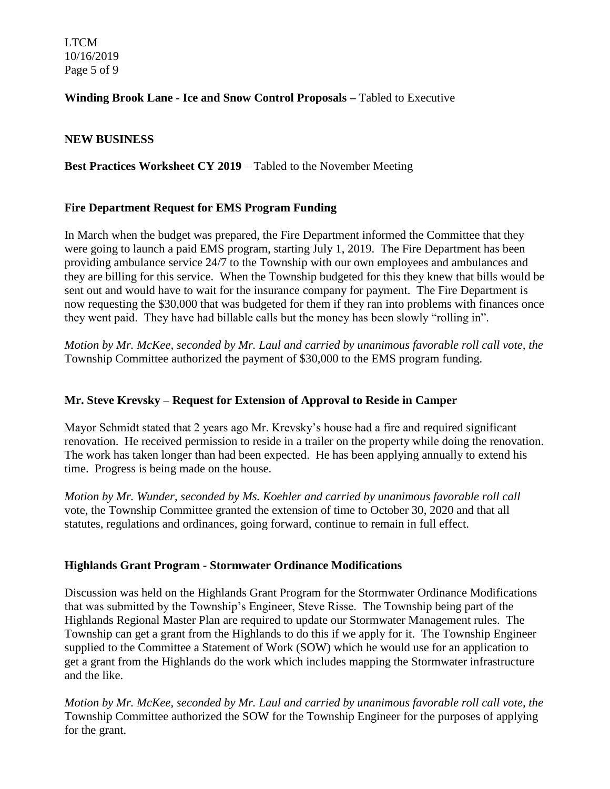LTCM 10/16/2019 Page 5 of 9

# **Winding Brook Lane - Ice and Snow Control Proposals –** Tabled to Executive

## **NEW BUSINESS**

## **Best Practices Worksheet CY 2019** – Tabled to the November Meeting

## **Fire Department Request for EMS Program Funding**

In March when the budget was prepared, the Fire Department informed the Committee that they were going to launch a paid EMS program, starting July 1, 2019. The Fire Department has been providing ambulance service 24/7 to the Township with our own employees and ambulances and they are billing for this service. When the Township budgeted for this they knew that bills would be sent out and would have to wait for the insurance company for payment. The Fire Department is now requesting the \$30,000 that was budgeted for them if they ran into problems with finances once they went paid. They have had billable calls but the money has been slowly "rolling in".

*Motion by Mr. McKee, seconded by Mr. Laul and carried by unanimous favorable roll call vote, the*  Township Committee authorized the payment of \$30,000 to the EMS program funding.

## **Mr. Steve Krevsky – Request for Extension of Approval to Reside in Camper**

Mayor Schmidt stated that 2 years ago Mr. Krevsky's house had a fire and required significant renovation. He received permission to reside in a trailer on the property while doing the renovation. The work has taken longer than had been expected. He has been applying annually to extend his time. Progress is being made on the house.

*Motion by Mr. Wunder, seconded by Ms. Koehler and carried by unanimous favorable roll call*  vote, the Township Committee granted the extension of time to October 30, 2020 and that all statutes, regulations and ordinances, going forward, continue to remain in full effect.

#### **Highlands Grant Program - Stormwater Ordinance Modifications**

Discussion was held on the Highlands Grant Program for the Stormwater Ordinance Modifications that was submitted by the Township's Engineer, Steve Risse. The Township being part of the Highlands Regional Master Plan are required to update our Stormwater Management rules. The Township can get a grant from the Highlands to do this if we apply for it. The Township Engineer supplied to the Committee a Statement of Work (SOW) which he would use for an application to get a grant from the Highlands do the work which includes mapping the Stormwater infrastructure and the like.

*Motion by Mr. McKee, seconded by Mr. Laul and carried by unanimous favorable roll call vote, the*  Township Committee authorized the SOW for the Township Engineer for the purposes of applying for the grant.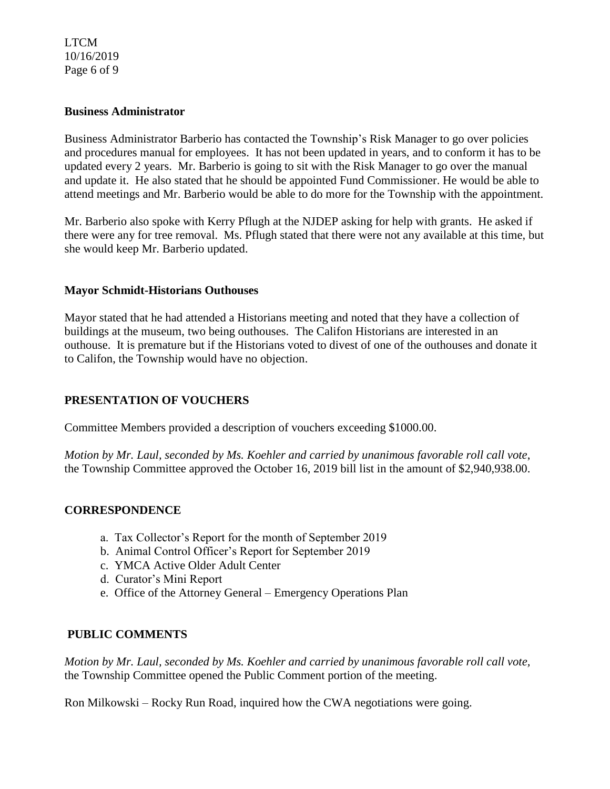#### LTCM 10/16/2019 Page 6 of 9

#### **Business Administrator**

Business Administrator Barberio has contacted the Township's Risk Manager to go over policies and procedures manual for employees. It has not been updated in years, and to conform it has to be updated every 2 years. Mr. Barberio is going to sit with the Risk Manager to go over the manual and update it. He also stated that he should be appointed Fund Commissioner. He would be able to attend meetings and Mr. Barberio would be able to do more for the Township with the appointment.

Mr. Barberio also spoke with Kerry Pflugh at the NJDEP asking for help with grants. He asked if there were any for tree removal. Ms. Pflugh stated that there were not any available at this time, but she would keep Mr. Barberio updated.

## **Mayor Schmidt-Historians Outhouses**

Mayor stated that he had attended a Historians meeting and noted that they have a collection of buildings at the museum, two being outhouses. The Califon Historians are interested in an outhouse. It is premature but if the Historians voted to divest of one of the outhouses and donate it to Califon, the Township would have no objection.

# **PRESENTATION OF VOUCHERS**

Committee Members provided a description of vouchers exceeding \$1000.00.

*Motion by Mr. Laul, seconded by Ms. Koehler and carried by unanimous favorable roll call vote*, the Township Committee approved the October 16, 2019 bill list in the amount of \$2,940,938.00.

# **CORRESPONDENCE**

- a. Tax Collector's Report for the month of September 2019
- b. Animal Control Officer's Report for September 2019
- c. YMCA Active Older Adult Center
- d. Curator's Mini Report
- e. Office of the Attorney General Emergency Operations Plan

# **PUBLIC COMMENTS**

*Motion by Mr. Laul, seconded by Ms. Koehler and carried by unanimous favorable roll call vote,* the Township Committee opened the Public Comment portion of the meeting.

Ron Milkowski – Rocky Run Road, inquired how the CWA negotiations were going.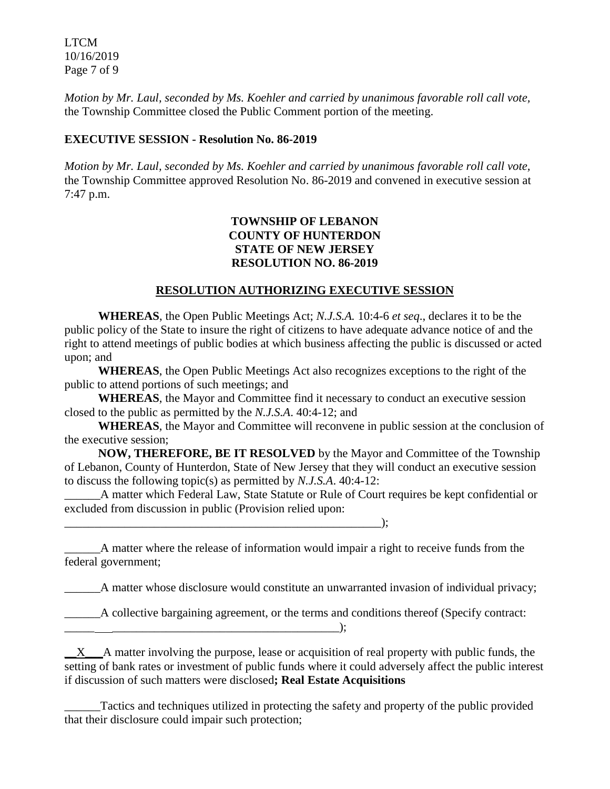LTCM 10/16/2019 Page 7 of 9

*Motion by Mr. Laul, seconded by Ms. Koehler and carried by unanimous favorable roll call vote,* the Township Committee closed the Public Comment portion of the meeting.

#### **EXECUTIVE SESSION - Resolution No. 86-2019**

*Motion by Mr. Laul, seconded by Ms. Koehler and carried by unanimous favorable roll call vote,* the Township Committee approved Resolution No. 86-2019 and convened in executive session at 7:47 p.m.

## **TOWNSHIP OF LEBANON COUNTY OF HUNTERDON STATE OF NEW JERSEY RESOLUTION NO. 86-2019**

## **RESOLUTION AUTHORIZING EXECUTIVE SESSION**

**WHEREAS**, the Open Public Meetings Act; *N.J.S.A.* 10:4-6 *et seq*., declares it to be the public policy of the State to insure the right of citizens to have adequate advance notice of and the right to attend meetings of public bodies at which business affecting the public is discussed or acted upon; and

**WHEREAS**, the Open Public Meetings Act also recognizes exceptions to the right of the public to attend portions of such meetings; and

**WHEREAS**, the Mayor and Committee find it necessary to conduct an executive session closed to the public as permitted by the *N.J.S.A*. 40:4-12; and

**WHEREAS**, the Mayor and Committee will reconvene in public session at the conclusion of the executive session;

**NOW, THEREFORE, BE IT RESOLVED** by the Mayor and Committee of the Township of Lebanon, County of Hunterdon, State of New Jersey that they will conduct an executive session to discuss the following topic(s) as permitted by *N.J.S.A*. 40:4-12:

A matter which Federal Law, State Statute or Rule of Court requires be kept confidential or excluded from discussion in public (Provision relied upon:

 $\qquad \qquad$  );

\_\_\_\_\_\_A matter where the release of information would impair a right to receive funds from the federal government;

A matter whose disclosure would constitute an unwarranted invasion of individual privacy;

\_\_\_\_\_\_A collective bargaining agreement, or the terms and conditions thereof (Specify contract:

 $\mathbf{R}$  , and the same set of  $\mathbf{R}$  is the same set of  $\mathbf{R}$  is the same set of  $\mathbf{R}$  is the same set of  $\mathbf{R}$  is the same set of  $\mathbf{R}$  is the same set of  $\mathbf{R}$  is the same set of  $\mathbf{R}$  is the same s

 $X$  A matter involving the purpose, lease or acquisition of real property with public funds, the setting of bank rates or investment of public funds where it could adversely affect the public interest if discussion of such matters were disclosed**; Real Estate Acquisitions**

\_\_\_\_\_\_Tactics and techniques utilized in protecting the safety and property of the public provided that their disclosure could impair such protection;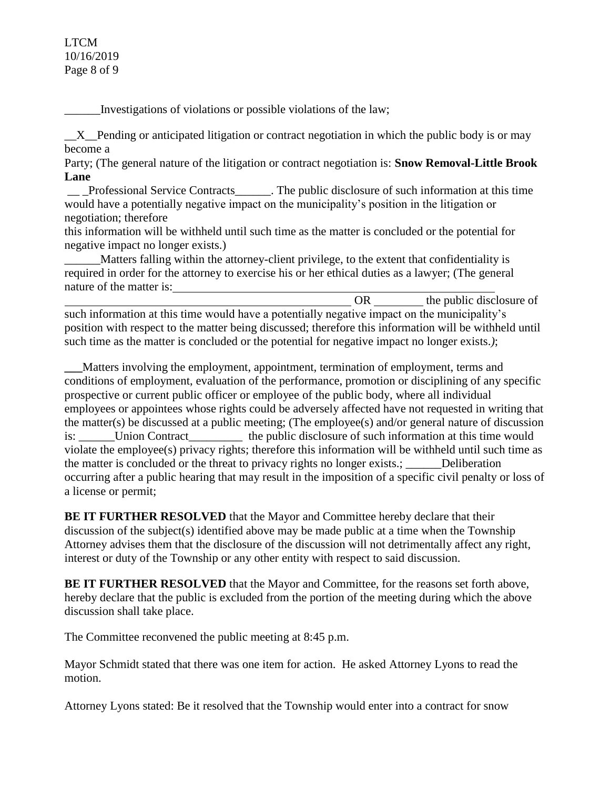#### LTCM 10/16/2019 Page 8 of 9

\_\_\_\_\_\_Investigations of violations or possible violations of the law;

 $X$  Pending or anticipated litigation or contract negotiation in which the public body is or may become a

Party; (The general nature of the litigation or contract negotiation is: **Snow Removal-Little Brook Lane**

\_\_ \_Professional Service Contracts\_\_\_\_\_\_. The public disclosure of such information at this time would have a potentially negative impact on the municipality's position in the litigation or negotiation; therefore

this information will be withheld until such time as the matter is concluded or the potential for negative impact no longer exists.)

Matters falling within the attorney-client privilege, to the extent that confidentiality is required in order for the attorney to exercise his or her ethical duties as a lawyer; (The general nature of the matter is:

OR the public disclosure of such information at this time would have a potentially negative impact on the municipality's position with respect to the matter being discussed; therefore this information will be withheld until such time as the matter is concluded or the potential for negative impact no longer exists.*)*;

**\_\_\_**Matters involving the employment, appointment, termination of employment, terms and conditions of employment, evaluation of the performance, promotion or disciplining of any specific prospective or current public officer or employee of the public body, where all individual employees or appointees whose rights could be adversely affected have not requested in writing that the matter(s) be discussed at a public meeting; (The employee(s) and/or general nature of discussion is: \_\_\_\_\_\_Union Contract\_\_\_\_\_\_\_\_\_ the public disclosure of such information at this time would violate the employee(s) privacy rights; therefore this information will be withheld until such time as the matter is concluded or the threat to privacy rights no longer exists.; \_\_\_\_\_\_Deliberation occurring after a public hearing that may result in the imposition of a specific civil penalty or loss of a license or permit;

**BE IT FURTHER RESOLVED** that the Mayor and Committee hereby declare that their discussion of the subject(s) identified above may be made public at a time when the Township Attorney advises them that the disclosure of the discussion will not detrimentally affect any right, interest or duty of the Township or any other entity with respect to said discussion.

**BE IT FURTHER RESOLVED** that the Mayor and Committee, for the reasons set forth above, hereby declare that the public is excluded from the portion of the meeting during which the above discussion shall take place.

The Committee reconvened the public meeting at 8:45 p.m.

Mayor Schmidt stated that there was one item for action. He asked Attorney Lyons to read the motion.

Attorney Lyons stated: Be it resolved that the Township would enter into a contract for snow